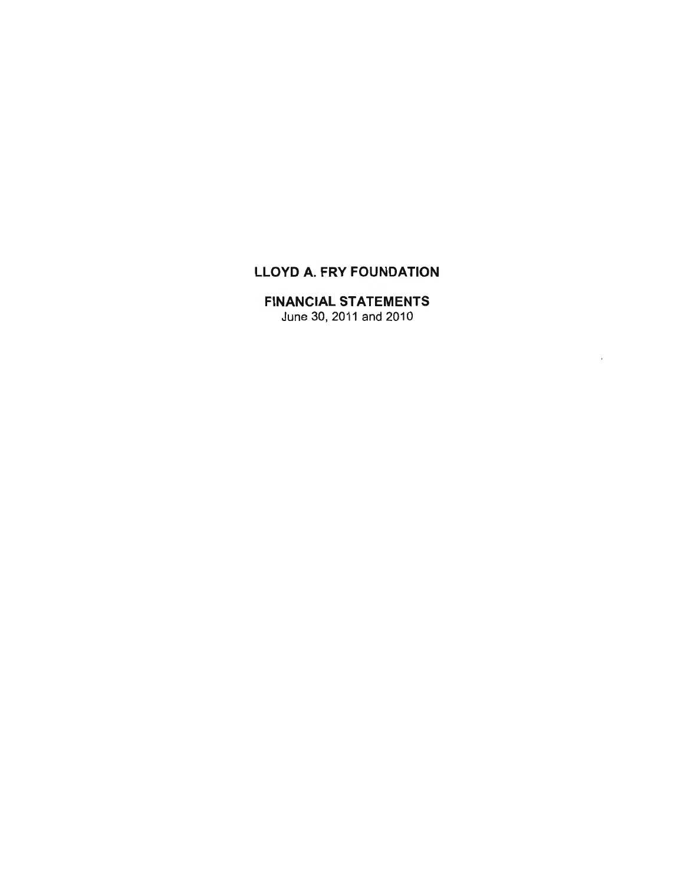# LLOYD A. FRY FOUNDATION

# FINANCIAL STATEMENTS

June 30, 2011 and 2010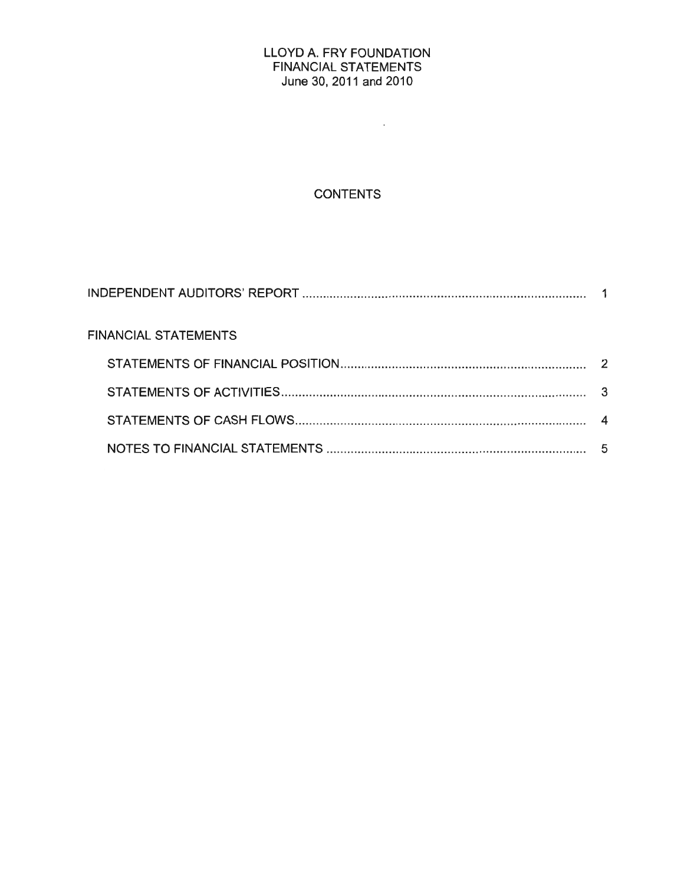#### LLOYD A. FRY FOUNDATION FINANCIAL STATEMENTS June 30, 2011 and 2010

 $\mathcal{L}(\mathcal{A})$  and

# **CONTENTS**

| <b>FINANCIAL STATEMENTS</b> |  |
|-----------------------------|--|
|                             |  |
|                             |  |
|                             |  |
|                             |  |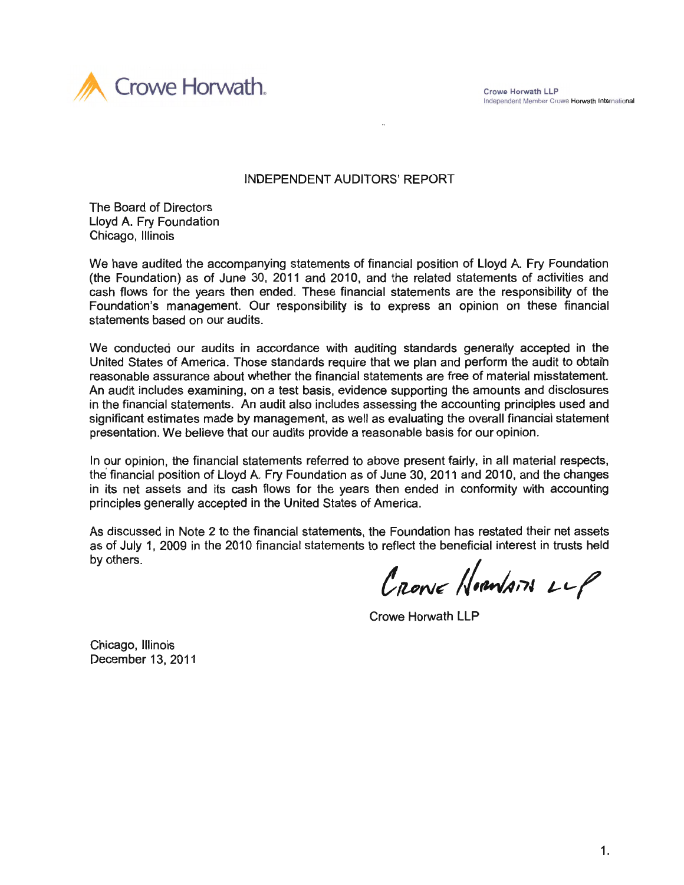Crowe Horwath LLP Independent Member Crowe Horwath International



#### INDEPENDENT AUDITORS' REPORT

The Board of Directors Lloyd A. Fry Foundation Chicago, Illinois

We have audited the accompanying statements of financial position of Lloyd A. Fry Foundation (the Foundation) as of June 30, 2011 and 2010, and the related statements of activities and cash flows for the years then ended. These financial statements are the responsibility of the Foundation's management. Our responsibility is to express an opinion on these financial statements based on our audits.

We conducted our audits in accordance with auditing standards generally accepted in the United States of America. Those standards require that we plan and perform the audit to obtai'n reasonable assurance about whether the financial statements are free of material misstatement. An audit includes examining, on a test basis, evidence supporting the amounts and disclosures in the financial statements. An audit also includes assessing the accounting principles used and significant estimates made by management, as well as evaluating the overall financial statement presentation. We believe that our audits provide a reasonable basis for our opinion.

In our opinion, the financial statements referred to above present fairly, in all material respects, the financial position of Lloyd A. Fry Foundation as of June 30, 2011 and 2010, and the changes in its net assets and its cash flows for the years then ended in conformity with accounting principles generally accepted in the United States of America.

As discussed in Note 2 to the financial statements, the Foundation has restated their net assets as of July 1, 2009 in the 2010 financial statements to reflect the beneficial interest in trusts held by others.

CRONE HORNAIN LLP

Crowe Horwath LLP

Chicago, Illinois December 13, 2011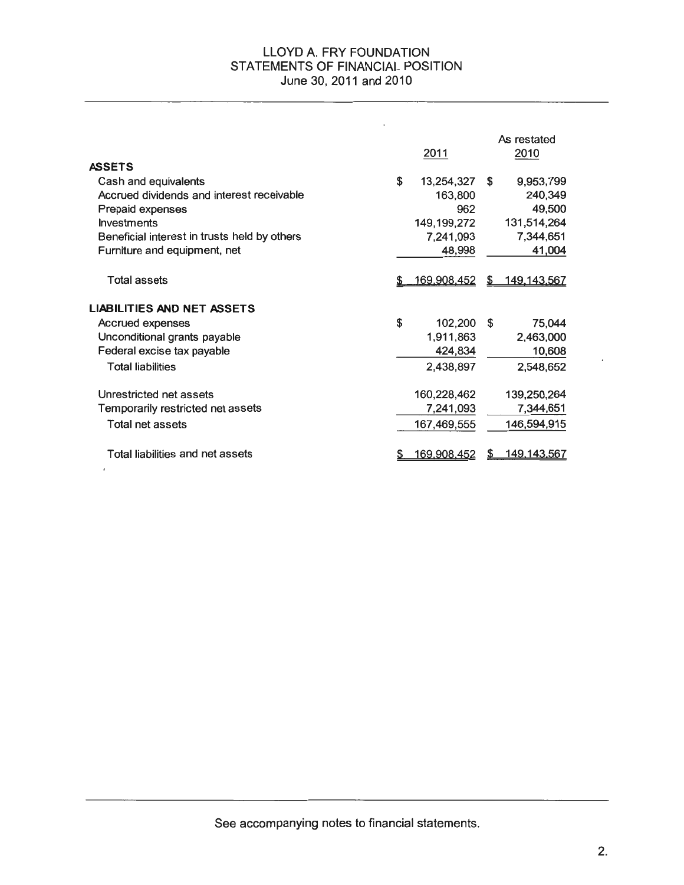#### LLOYD A. FRY FOUNDATION STATEMENTS OF FINANCIAL POSITION June 30, 2011 and 2010

|                                              | 2011               |    | As restated<br>2010 |
|----------------------------------------------|--------------------|----|---------------------|
| <b>ASSETS</b>                                |                    |    |                     |
| Cash and equivalents                         | \$<br>13,254,327   | S  | 9,953,799           |
| Accrued dividends and interest receivable    | 163,800            |    | 240,349             |
| Prepaid expenses                             | 962                |    | 49,500              |
| <b>Investments</b>                           | 149,199,272        |    | 131,514,264         |
| Beneficial interest in trusts held by others | 7,241,093          |    | 7,344,651           |
| Furniture and equipment, net                 | 48,998             |    | 41,004              |
| Total assets                                 | 169,908,452        | S. | <u>149,143,567</u>  |
| <b>LIABILITIES AND NET ASSETS</b>            |                    |    |                     |
| <b>Accrued expenses</b>                      | \$<br>102,200      | S  | 75,044              |
| Unconditional grants payable                 | 1,911,863          |    | 2,463,000           |
| Federal excise tax payable                   | 424,834            |    | 10,608              |
| <b>Total liabilities</b>                     | 2,438,897          |    | 2,548,652           |
| Unrestricted net assets                      | 160,228,462        |    | 139,250,264         |
| Temporarily restricted net assets            | 7,241,093          |    | 7,344,651           |
| Total net assets                             | 167,469,555        |    | 146,594,915         |
| Total liabilities and net assets             | <u>169.908.452</u> |    | <u>149.143.567</u>  |

See accompanying notes to financial statements.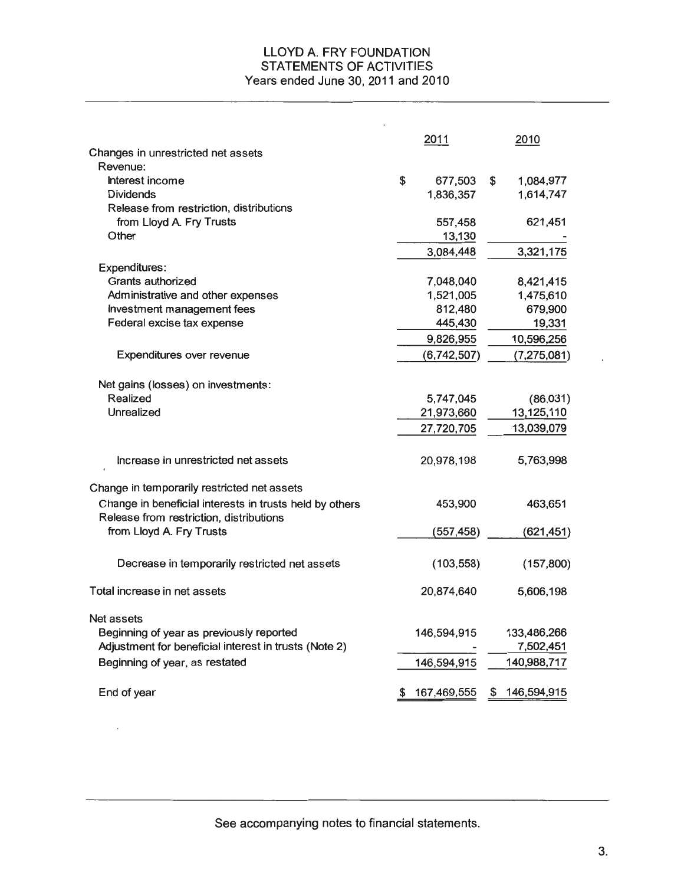#### LLOYD A. FRY FOUNDATION STATEMENTS OF ACTIVITIES Years ended June 30, 2011 and 2010

|                                                         | 2011              | 2010              |
|---------------------------------------------------------|-------------------|-------------------|
| Changes in unrestricted net assets                      |                   |                   |
| Revenue:                                                |                   |                   |
| Interest income                                         | \$<br>677,503     | \$<br>1,084,977   |
| <b>Dividends</b>                                        | 1,836,357         | 1,614,747         |
| Release from restriction, distributions                 |                   |                   |
| from Lloyd A. Fry Trusts                                | 557,458           | 621,451           |
| Other                                                   | 13,130            |                   |
|                                                         | 3,084,448         | 3,321,175         |
| Expenditures:                                           |                   |                   |
| Grants authorized                                       | 7,048,040         | 8,421,415         |
| Administrative and other expenses                       | 1,521,005         | 1,475,610         |
| Investment management fees                              | 812,480           | 679,900           |
| Federal excise tax expense                              | 445,430           | 19,331            |
|                                                         | 9,826,955         | 10,596,256        |
| Expenditures over revenue                               | (6,742,507)       | (7, 275, 081)     |
|                                                         |                   |                   |
| Net gains (losses) on investments:                      |                   |                   |
| Realized                                                | 5,747,045         | (86,031)          |
| Unrealized                                              | 21,973,660        | 13,125,110        |
|                                                         | 27,720,705        | 13,039,079        |
| Increase in unrestricted net assets                     | 20,978,198        | 5,763,998         |
| Change in temporarily restricted net assets             |                   |                   |
| Change in beneficial interests in trusts held by others | 453,900           | 463,651           |
| Release from restriction, distributions                 |                   |                   |
| from Lloyd A. Fry Trusts                                | (557, 458)        | (621, 451)        |
| Decrease in temporarily restricted net assets           | (103, 558)        | (157,800)         |
| Total increase in net assets                            | 20,874,640        | 5,606,198         |
| Net assets                                              |                   |                   |
| Beginning of year as previously reported                | 146,594,915       | 133,486,266       |
| Adjustment for beneficial interest in trusts (Note 2)   |                   | 7,502,451         |
| Beginning of year, as restated                          | 146,594,915       | 140,988,717       |
| End of year                                             | \$<br>167,469,555 | \$<br>146,594,915 |
|                                                         |                   |                   |

See accompanying notes to financial statements.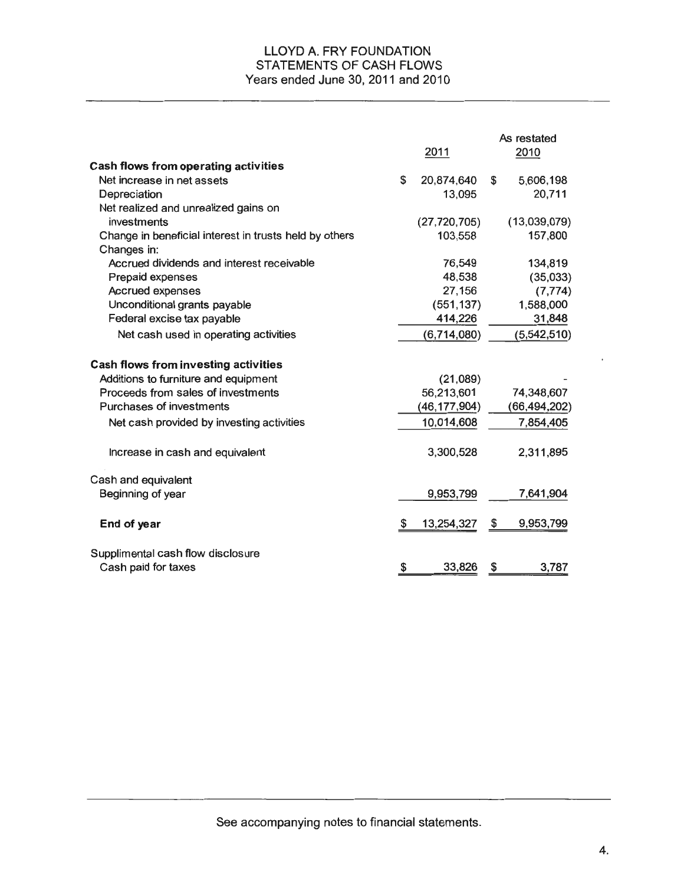#### LLOYD A. FRY FOUNDATION STATEMENTS OF CASH FLOWS Years ended June 30, 2011 and 2010

|                                                        |              |                | As restated     |
|--------------------------------------------------------|--------------|----------------|-----------------|
|                                                        |              | 2011           | 2010            |
| <b>Cash flows from operating activities</b>            |              |                |                 |
| Net increase in net assets                             | $\mathbb{S}$ | 20,874,640     | \$<br>5,606,198 |
| Depreciation                                           |              | 13,095         | 20,711          |
| Net realized and unrealized gains on                   |              |                |                 |
| investments                                            |              | (27, 720, 705) | (13,039,079)    |
| Change in beneficial interest in trusts held by others |              | 103,558        | 157,800         |
| Changes in:                                            |              |                |                 |
| Accrued dividends and interest receivable              |              | 76,549         | 134,819         |
| Prepaid expenses                                       |              | 48,538         | (35,033)        |
| <b>Accrued expenses</b>                                |              | 27,156         | (7, 774)        |
| Unconditional grants payable                           |              | (551, 137)     | 1,588,000       |
| Federal excise tax payable                             |              | 414,226        | 31,848          |
| Net cash used in operating activities                  |              | (6,714,080)    | (5,542,510)     |
| <b>Cash flows from investing activities</b>            |              |                |                 |
| Additions to furniture and equipment                   |              | (21,089)       |                 |
| Proceeds from sales of investments                     |              | 56,213,601     | 74,348,607      |
| Purchases of investments                               |              | (46, 177, 904) | (66, 494, 202)  |
| Net cash provided by investing activities              |              | 10,014,608     | 7,854,405       |
| Increase in cash and equivalent                        |              | 3,300,528      | 2,311,895       |
| Cash and equivalent                                    |              |                |                 |
| Beginning of year                                      |              | 9,953,799      | 7,641,904       |
| End of year                                            | \$           | 13,254,327     | \$<br>9,953,799 |
| Supplimental cash flow disclosure                      |              |                |                 |
| Cash paid for taxes                                    | \$           | 33,826         | \$<br>3,787     |

See accompanying notes to financial statements.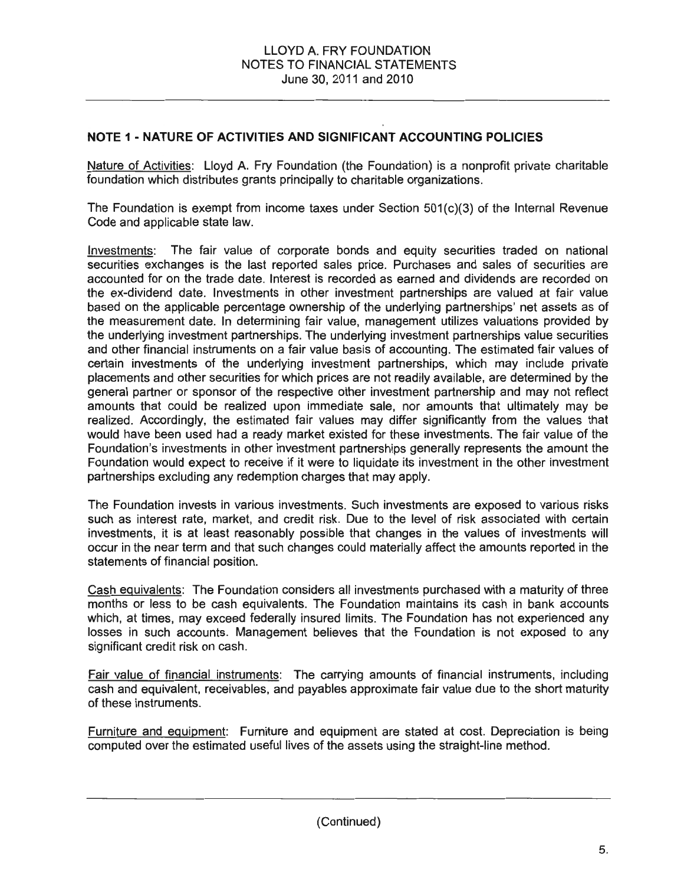### **NOTE 1- NATURE OF ACTIVITIES AND SIGNIFICANT ACCOUNTING POLICIES**

Nature of Activities: Lloyd A. Fry Foundation (the Foundation) is a nonprofit private charitable foundation which distributes grants principally to charitable organizations.

The Foundation is exempt from income taxes under Section 501(c)(3) of the Internal Revenue Code and applicable state law.

Investments: The fair value of corporate bonds and equity securities traded on national securities exchanges is the last reported sales price. Purchases and sales of securities are accounted for on the trade date. Interest is recorded as earned and dividends are recorded on the ex-dividend date. Investments in other investment partnerships are valued at fair value based on the applicable percentage ownership of the underlying partnerships' net assets as of the measurement date. In determining fair value, management utilizes valuations provided by the underlying investment partnerships. The underlying investment partnerships value securities and other financial instruments on a fair value basis of accounting. The estimated fair values of certain investments of the underlying investment partnerships, which may include private placements and other securities for which prices are not readily available, are determined by the general partner or sponsor of the respective other investment partnership and may not reflect amounts that could be realized upon immediate sale, nor amounts that ultimately may be realized. Accordingly, the estimated fair values may differ significantly from the values that would have been used had a ready market existed for these investments. The fair value of the Foundation's investments in other investment partnerships generally represents the amount the Foundation would expect to receive if it were to liquidate its investment in the other investment partnerships excluding any redemption charges that may apply.

The Foundation invests in various investments. Such investments are exposed to various risks such as interest rate, market, and credit risk. Due to the level of risk associated with certain investments, it is at least reasonably possible that changes in the values of investments will occur in the near term and that such changes could materially affect the amounts reported in the statements of financial position.

Cash equivalents: The Foundation considers all investments purchased with a maturity of three months or less to be cash equivalents. The Foundation maintains its cash in bank accounts which, at times, may exceed federally insured limits. The Foundation has not experienced any losses in such accounts. Management believes that the Foundation is not exposed to any significant credit risk on cash.

Fair value of financial instruments: The carrying amounts of financial instruments, including cash and equivalent, receivables, and payables approximate fair value due to the short maturity of these instruments.

Furniture and eauioment: Furniture and equipment are stated at cost. Depreciation is being computed over the estimated useful lives of the assets using the straight-line method.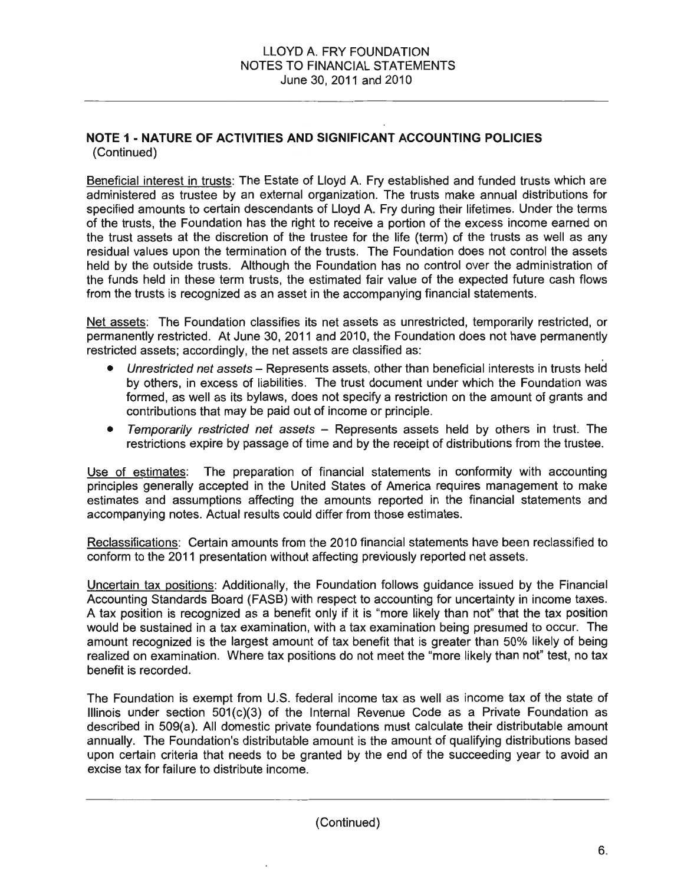## **NOTE 1- NATURE OF ACTIVITIES AND SIGNIFICANT ACCOUNTING POLICIES**  (Continued)

Beneficial interest in trusts: The Estate of Lloyd A. Fry established and funded trusts which are administered as trustee by an external organization. The trusts make annual distributions for specified amounts to certain descendants of Lloyd A. Fry during their lifetimes. Under the terms of the trusts, the Foundation has the right to receive a portion of the excess income earned on the trust assets at the discretion of the trustee for the life (term) of the trusts as well as any residual values upon the termination of the trusts. The Foundation does not control the assets held by the outside trusts. Although the Foundation has no control over the administration of the funds held in these term trusts, the estimated fair value of the expected future cash flows from the trusts is recognized as an asset in the accompanying financial statements.

Net assets: The Foundation classifies its net assets as unrestricted, temporarily restricted, or permanently restricted. At June 30, 2011 and 2010, the Foundation does not have permanently restricted assets; accordingly, the net assets are classified as:

- Unrestricted net assets Represents assets, other than beneficial interests in trusts held by others, in excess of liabilities. The trust document under which the Foundation was formed, as well as its bylaws, does not specify a restriction on the amount of grants and contributions that may be paid out of income or principle.
- Temporarily restricted net assets Represents assets held by others in trust. The restrictions expire by passage of time and by the receipt of distributions from the trustee.

Use of estimates: The preparation of financial statements in conformity with accounting principles generally accepted in the United States of America requires management to make estimates and assumptions affecting the amounts reported in the financial statements and accompanying notes. Actual results could differ from those estimates.

Reclassifications: Certain amounts from the 2010 financial statements have been reclassified to conform to the 2011 presentation without affecting previously reported net assets.

Uncertain tax positions: Additionally, the Foundation follows guidance issued by the Financial Accounting Standards Board (FASB) with respect to accounting for uncertainty in income taxes. A tax position is recognized as a benefit only if it is "more likely than not" that the tax position would be sustained in a tax examination, with a tax examination being presumed to occur. The amount recognized is the largest amount of tax benefit that is greater than 50% likely of being realized on examination. Where tax positions do not meet the "more likely than not" test, no tax benefit is recorded.

The Foundation is exempt from U.S. federal income tax as well as income tax of the state of Illinois under section 501(c)(3) of the Internal Revenue Code as a Private Foundation as described in 509(a). All domestic private foundations must calculate their distributable amount annually. The Foundation's distributable amount is the amount of qualifying distributions based upon certain criteria that needs to be granted by the end of the succeeding year to avoid an excise tax for failure to distribute income.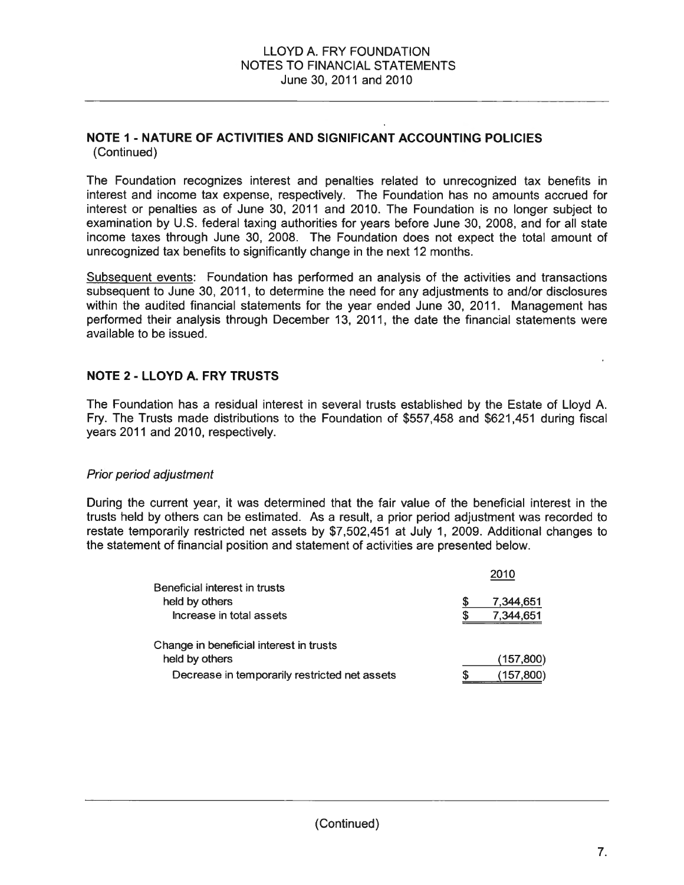#### **NOTE 1- NATURE OF ACTIVITIES AND SIGNIFICANT ACCOUNTING POLICIES**  (Continued)

The Foundation recognizes interest and penalties related to unrecognized tax benefits in interest and income tax expense, respectively. The Foundation has no amounts accrued for interest or penalties as of June 30, 2011 and 2010. The Foundation is no longer subject to examination by U.S. federal taxing authorities for years before June 30, 2008, and for all state income taxes through June 30, 2008. The Foundation does not expect the total amount of unrecognized tax benefits to significantly change in the next 12 months.

Subsequent events: Foundation has performed an analysis of the activities and transactions subsequent to June 30, 2011, to determine the need for any adjustments to and/or disclosures within the audited financial statements for the year ended June 30, 2011. Management has performed their analysis through December 13, 2011, the date the financial statements were available to be issued.

### **NOTE 2 - LLOYD A. FRY TRUSTS**

The Foundation has a residual interest in several trusts established by the Estate of Lloyd A. Fry. The Trusts made distributions to the Foundation of \$557,458 and \$621,451 during fiscal years 2011 and 2010, respectively.

#### Prior period adjustment

During the current year, it was determined that the fair value of the beneficial interest in the trusts held by others can be estimated. As a result, a prior period adjustment was recorded to restate temporarily restricted net assets by \$7,502,451 at July 1, 2009. Additional changes to the statement of financial position and statement of activities are presented below.

| Beneficial interest in trusts                 |        | 2010                   |  |  |
|-----------------------------------------------|--------|------------------------|--|--|
| held by others<br>Increase in total assets    | S<br>S | 7,344,651<br>7,344,651 |  |  |
| Change in beneficial interest in trusts       |        |                        |  |  |
| held by others                                |        | (157,800)              |  |  |
| Decrease in temporarily restricted net assets | S      | (157,800)              |  |  |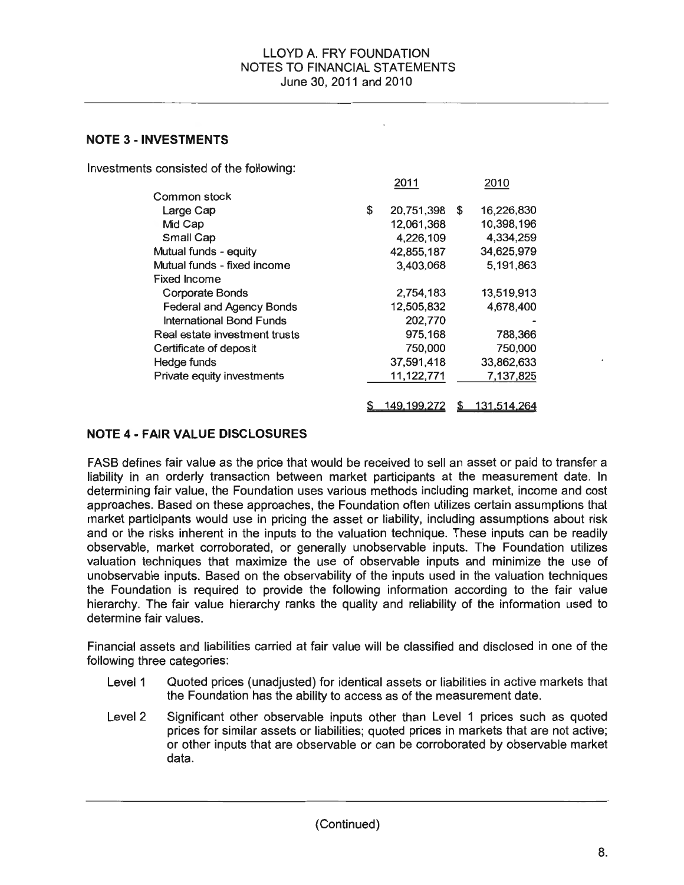#### **NOTE 3 -INVESTMENTS**

Investments consisted of the following:

|                                 | 2011             | 2010             |
|---------------------------------|------------------|------------------|
| Common stock                    |                  |                  |
| Large Cap                       | \$<br>20,751,398 | \$<br>16,226,830 |
| Mid Cap                         | 12,061,368       | 10,398,196       |
| Small Cap                       | 4,226,109        | 4,334,259        |
| Mutual funds - equity           | 42,855,187       | 34,625,979       |
| Mutual funds - fixed income     | 3,403,068        | 5,191,863        |
| <b>Fixed Income</b>             |                  |                  |
| Corporate Bonds                 | 2,754,183        | 13,519,913       |
| <b>Federal and Agency Bonds</b> | 12,505,832       | 4,678,400        |
| International Bond Funds        | 202,770          |                  |
| Real estate investment trusts   | 975,168          | 788,366          |
| Certificate of deposit          | 750,000          | 750,000          |
| Hedge funds                     | 37,591,418       | 33,862,633       |
| Private equity investments      | 11,122,771       | 7,137,825        |
|                                 |                  |                  |
|                                 | 149.199.27       | 131.514.264      |

### **NOTE 4- FAIR VALUE DISCLOSURES**

FASB defines fair value as the price that would be received to sell an asset or paid to transfer a liability in an orderly transaction between market participants at the measurement date. In determining fair value, the Foundation uses various methods including market, income and cost approaches. Based on these approaches, the Foundation often utilizes certain assumptions that market participants would use in pricing the asset or liability, including assumptions about risk and or the risks inherent in the inputs to the valuation technique. These inputs can be readily observable, market corroborated, or generally unobservable inputs. The Foundation utilizes valuation techniques that maximize the use of observable inputs and minimize the use of unobservable inputs. Based on the observability of the inputs used in the valuation techniques the Foundation is required to provide the following information according to the fair value hierarchy. The fair value hierarchy ranks the quality and reliability of the information used to determine fair values.

Financial assets and liabilities carried at fair value will be classified and disclosed in one of the following three categories:

- Level 1 Quoted prices (unadjusted) for identical assets or liabilities in active markets that the Foundation has the ability to access as of the measurement date.
- Level2 Significant other observable inputs other than Level 1 prices such as quoted prices for similar assets or liabilities; quoted prices in markets that are not active; or other inputs that are observable or can be corroborated by observable market data.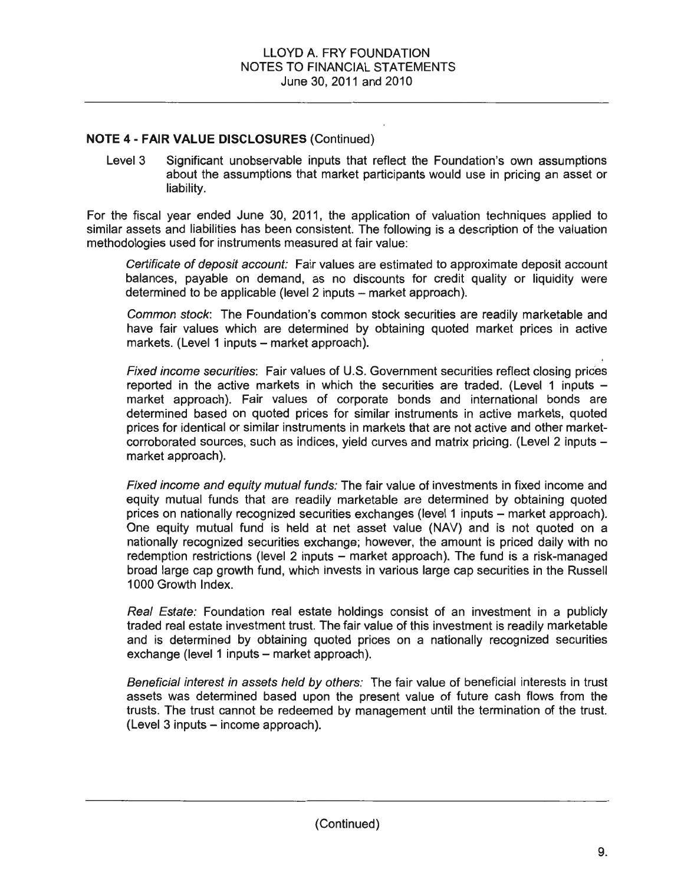Level 3 Significant unobservable inputs that reflect the Foundation's own assumptions about the assumptions that market participants would use in pricing an asset or liability.

For the fiscal year ended June 30, 2011 , the application of valuation techniques applied to similar assets and liabilities has been consistent. The following is a description of the valuation methodologies used for instruments measured at fair value:

Certificate of deposit account: Fair values are estimated to approximate deposit account balances, payable on demand, as no discounts for credit quality or liquidity were determined to be applicable (level 2 inputs – market approach).

Common stock: The Foundation's common stock securities are readily marketable and have fair values which are determined by obtaining quoted market prices in active markets. (Level 1 inputs - market approach).

Fixed income securities: Fair values of U.S. Government securities reflect closing prices reported in the active markets in which the securities are traded. (Level 1 inputs  $$ market approach). Fair values of corporate bonds and international bonds are determined based on quoted prices for similar instruments in active markets, quoted prices for identical or similar instruments in markets that are not active and other marketcorroborated sources, such as indices, yield curves and matrix pricing. (Level 2 inputs market approach).

Fixed income and equity mutual funds: The fair value of investments in fixed income and equity mutual funds that are readily marketable are determined by obtaining quoted prices on nationally recognized securities exchanges (level 1 inputs- market approach). One equity mutual fund is held at net asset value (NAV) and is not quoted on a nationally recognized securities exchange; however, the amount is priced daily with no redemption restrictions (level 2 inputs – market approach). The fund is a risk-managed broad large cap growth fund, which invests in various large cap securities in the Russell 1000 Growth Index.

Real Estate: Foundation real estate holdings consist of an investment in a publicly traded real estate investment trust. The fair value of this investment is readily marketable and is determined by obtaining quoted prices on a nationally recognized securities exchange (level 1 inputs - market approach).

Beneficial interest in assets held by others: The fair value of beneficial interests in trust assets was determined based upon the present value of future cash flows from the trusts. The trust cannot be redeemed by management until the termination of the trust.  $(Level 3 inputs - income approach).$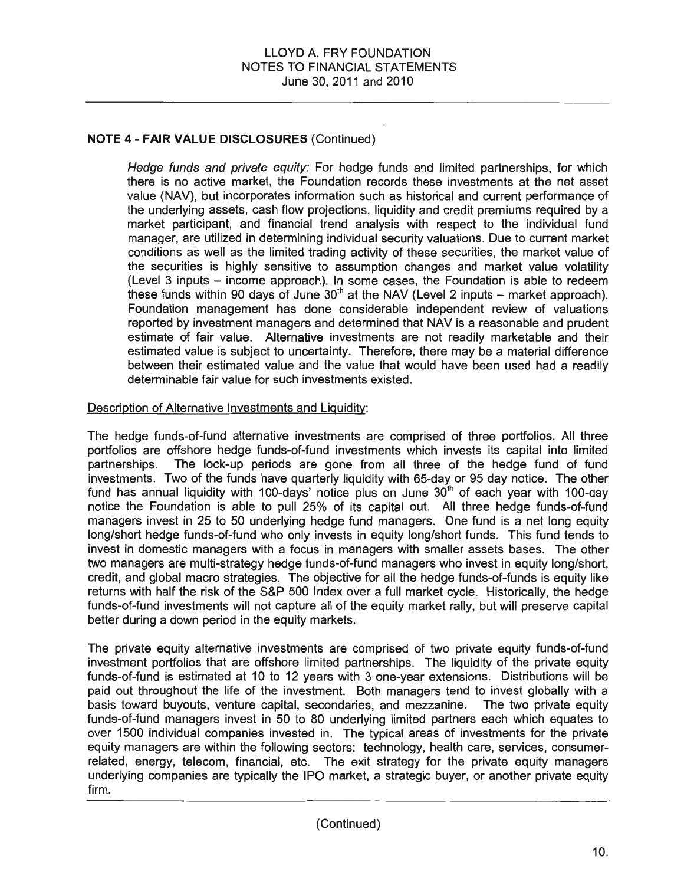Hedge funds and private equity: For hedge funds and limited partnerships, for which there is no active market, the Foundation records these investments at the net asset value (NAV), but incorporates information such as historical and current performance of the underlying assets, cash flow projections, liquidity and credit premiums required by a market participant, and financial trend analysis with respect to the individual fund manager, are utilized in determining individual security valuations. Due to current market conditions as well as the limited trading activity of these securities, the market value of the securities is highly sensitive to assumption changes and market value volatility (Level 3 inputs - income approach). In some cases, the Foundation is able to redeem these funds within 90 days of June  $30<sup>th</sup>$  at the NAV (Level 2 inputs – market approach). Foundation management has done considerable independent review of valuations reported by investment managers and determined that NAV is a reasonable and prudent estimate of fair value. Alternative investments are not readily marketable and their estimated value is subject to uncertainty. Therefore, there may be a material difference between their estimated value and the value that would have been used had a readily determinable fair value for such investments existed.

#### Description of Alternative Investments and Liquidity:

The hedge funds-of-fund alternative investments are comprised of three portfolios. All three portfolios are offshore hedge funds-of-fund investments which invests its capital into limited partnerships. The lock-up periods are gone from all three of the hedge fund of fund investments. Two of the funds have quarterly liquidity with 65-day or 95 day notice. The other fund has annual liquidity with 100-days' notice plus on June  $30<sup>th</sup>$  of each year with 100-day notice the Foundation is able to pull 25% of its capital out. All three hedge funds-of-fund managers invest in 25 to 50 underlying hedge fund managers. One fund is a net long equity long/short hedge funds-of-fund who only invests in equity long/short funds. This fund tends to invest in domestic managers with a focus in managers with smaller assets bases. The other two managers are multi-strategy hedge funds-of-fund managers who invest in equity long/short, credit, and global macro strategies. The objective for all the hedge funds-of-funds is equity like returns with half the risk of the S&P 500 Index over a full market cycle. Historically, the hedge funds-of-fund investments will not capture all of the equity market rally, but will preserve capital better during a down period in the equity markets.

The private equity alternative investments are comprised of two private equity funds-of-fund investment portfolios that are offshore limited partnerships. The liquidity of the private equity funds-of-fund is estimated at 10 to 12 years with 3 one-year extensions. Distributions will be paid out throughout the life of the investment. Both managers tend to invest globally with a basis toward buyouts, venture capital, secondaries, and mezzanine. The two private equity funds-of-fund managers invest in 50 to 80 underlying limited partners each which equates to over 1500 individual companies invested in. The typical areas of investments for the private equity managers are within the following sectors: technology, health care, services, consumerrelated, energy, telecom, financial, etc. The exit strategy for the private equity managers underlying companies are typically the IPO market, a strategic buyer, or another private equity firm .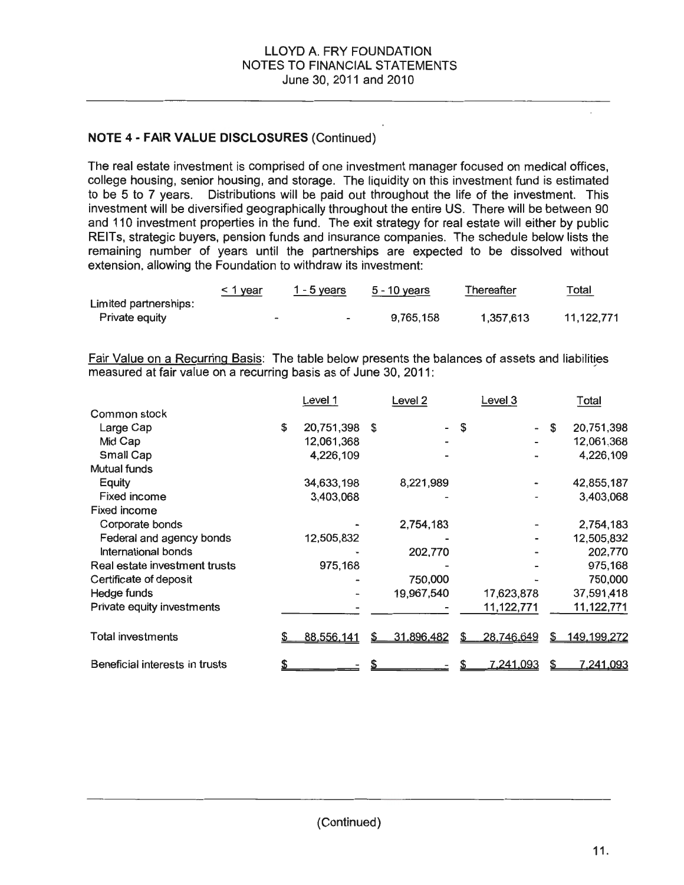The real estate investment is comprised of one investment manager focused on medical offices, college housing, senior housing, and storage. The liquidity on this investment fund is estimated to be 5 to 7 years. Distributions will be paid out throughout the life of the investment. This investment will be diversified geographically throughout the entire US. There will be between 90 and 110 investment properties in the fund. The exit strategy for real estate will either by public REITs, strategic buyers, pension funds and insurance companies. The schedule below lists the remaining number of years until the partnerships are expected to be dissolved without extension, allowing the Foundation to withdraw its investment:

|                       | <u>&lt; 1 year</u>       | $1 - 5$ years            | 5 - 10 years | Thereafter | Total<br>_____ |
|-----------------------|--------------------------|--------------------------|--------------|------------|----------------|
| Limited partnerships: |                          |                          |              |            |                |
| Private equity        | $\overline{\phantom{a}}$ | $\overline{\phantom{0}}$ | 9.765.158    | 1.357.613  | 11.122.771     |

Fair Value on a Recurring Basis: The table below presents the balances of assets and liabilities measured at fair value on a recurring basis as of June 30, 2011:

|                                | Level 1          | Level <sub>2</sub> |    | Level 3    |   | Total              |
|--------------------------------|------------------|--------------------|----|------------|---|--------------------|
| Common stock                   |                  |                    |    |            |   |                    |
| Large Cap                      | \$<br>20,751,398 | \$                 | -S |            | S | 20,751,398         |
| Mid Cap                        | 12,061,368       |                    |    |            |   | 12,061,368         |
| Small Cap                      | 4,226,109        |                    |    |            |   | 4,226,109          |
| Mutual funds                   |                  |                    |    |            |   |                    |
| Equity                         | 34,633,198       | 8,221,989          |    |            |   | 42,855,187         |
| <b>Fixed income</b>            | 3,403,068        |                    |    |            |   | 3,403,068          |
| <b>Fixed income</b>            |                  |                    |    |            |   |                    |
| Corporate bonds                |                  | 2,754,183          |    |            |   | 2,754,183          |
| Federal and agency bonds       | 12,505,832       |                    |    |            |   | 12,505,832         |
| International bonds            |                  | 202,770            |    |            |   | 202,770            |
| Real estate investment trusts  | 975,168          |                    |    |            |   | 975,168            |
| Certificate of deposit         |                  | 750,000            |    |            |   | 750,000            |
| Hedge funds                    |                  | 19,967,540         |    | 17,623,878 |   | 37,591,418         |
| Private equity investments     |                  |                    |    | 11,122,771 |   | 11,122,771         |
| <b>Total investments</b>       | 88,556,141       | 31,896,482         |    | 28,746,649 | S | <u>149,199,272</u> |
| Beneficial interests in trusts |                  |                    |    | 7,241,093  |   | <u>7.241.093</u>   |

 $\mathbf{r}$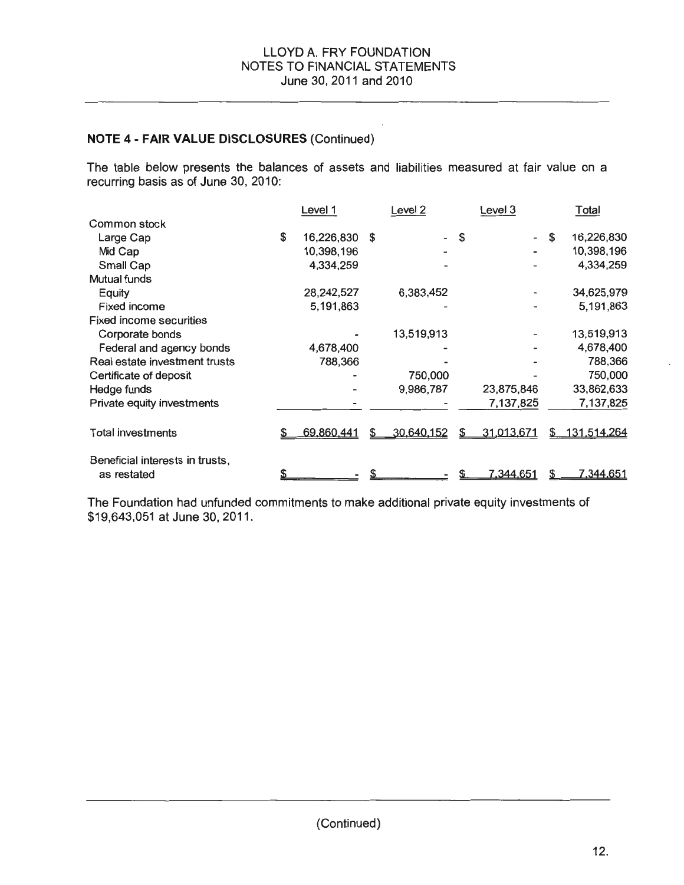The table below presents the balances of assets and liabilities measured at fair value on a recurring basis as of June 30, 2010:

|                                                | Level 1          |     | Level <sub>2</sub> |    | Level 3          |    | Total            |
|------------------------------------------------|------------------|-----|--------------------|----|------------------|----|------------------|
| Common stock                                   |                  |     |                    |    |                  |    |                  |
| Large Cap                                      | \$<br>16,226,830 | \$. | $\blacksquare$     | \$ |                  | \$ | 16,226,830       |
| Mid Cap                                        | 10,398,196       |     |                    |    |                  |    | 10,398,196       |
| Small Cap                                      | 4,334,259        |     |                    |    |                  |    | 4,334,259        |
| Mutual funds                                   |                  |     |                    |    |                  |    |                  |
| Equity                                         | 28,242,527       |     | 6,383,452          |    |                  |    | 34,625,979       |
| <b>Fixed income</b>                            | 5,191,863        |     |                    |    |                  |    | 5,191,863        |
| <b>Fixed income securities</b>                 |                  |     |                    |    |                  |    |                  |
| Corporate bonds                                |                  |     | 13,519,913         |    |                  |    | 13,519,913       |
| Federal and agency bonds                       | 4,678,400        |     |                    |    |                  |    | 4,678,400        |
| Real estate investment trusts                  | 788,366          |     |                    |    |                  |    | 788,366          |
| Certificate of deposit                         |                  |     | 750,000            |    |                  |    | 750,000          |
| Hedge funds                                    |                  |     | 9,986,787          |    | 23,875,846       |    | 33,862,633       |
| Private equity investments                     |                  |     |                    |    | 7,137,825        |    | 7,137,825        |
| <b>Total investments</b>                       | 69,860.441       | S   | 30,640,152         | S  | 31,013,671       | S  | 131,514,264      |
| Beneficial interests in trusts,<br>as restated |                  |     |                    |    | <u>7.344.651</u> | S  | <u>7.344.651</u> |

The Foundation had unfunded commitments to make additional private equity investments of \$19,643,051 at June 30, 2011.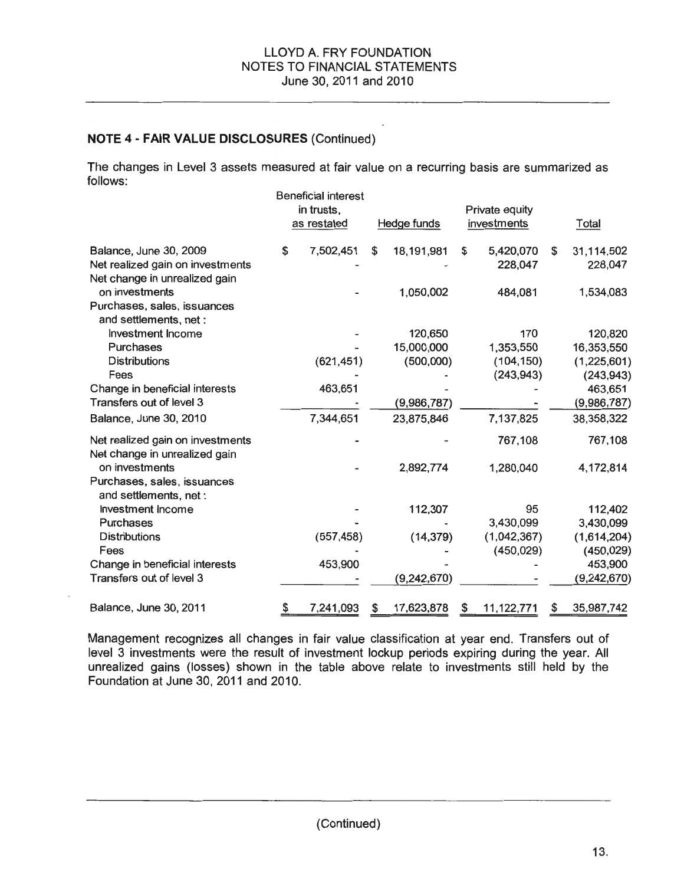The changes in Level 3 assets measured at fair value on a recurring basis are summarized as follows:

|                                                                   | <b>Beneficial interest</b><br>in trusts,<br>as restated |    | Hedge funds |    | Private equity<br>investments |    | Total         |
|-------------------------------------------------------------------|---------------------------------------------------------|----|-------------|----|-------------------------------|----|---------------|
|                                                                   |                                                         |    |             |    |                               |    |               |
| Balance, June 30, 2009                                            | \$<br>7,502,451                                         | \$ | 18,191,981  | \$ | 5,420,070                     | \$ | 31,114,502    |
| Net realized gain on investments                                  |                                                         |    |             |    | 228,047                       |    | 228,047       |
| Net change in unrealized gain                                     |                                                         |    |             |    |                               |    |               |
| on investments                                                    |                                                         |    | 1,050,002   |    | 484,081                       |    | 1,534,083     |
| Purchases, sales, issuances<br>and settlements, net:              |                                                         |    |             |    |                               |    |               |
| Investment Income                                                 |                                                         |    | 120,650     |    | 170                           |    | 120,820       |
| <b>Purchases</b>                                                  |                                                         |    | 15,000,000  |    | 1,353,550                     |    | 16,353,550    |
| <b>Distributions</b>                                              | (621, 451)                                              |    | (500,000)   |    | (104, 150)                    |    | (1,225,601)   |
| Fees                                                              |                                                         |    |             |    | (243, 943)                    |    | (243, 943)    |
| Change in beneficial interests                                    | 463,651                                                 |    |             |    |                               |    | 463,651       |
| Transfers out of level 3                                          |                                                         |    | (9,986,787) |    |                               |    | (9,986,787)   |
| Balance, June 30, 2010                                            | 7,344,651                                               |    | 23,875,846  |    | 7,137,825                     |    | 38,358,322    |
| Net realized gain on investments<br>Net change in unrealized gain |                                                         |    |             |    | 767,108                       |    | 767,108       |
| on investments                                                    |                                                         |    | 2,892,774   |    | 1,280,040                     |    | 4,172,814     |
| Purchases, sales, issuances<br>and settlements, net :             |                                                         |    |             |    |                               |    |               |
| <b>Investment Income</b>                                          |                                                         |    | 112,307     |    | 95                            |    | 112,402       |
| <b>Purchases</b>                                                  |                                                         |    |             |    | 3,430,099                     |    | 3,430,099     |
| <b>Distributions</b>                                              | (557, 458)                                              |    | (14, 379)   |    | (1,042,367)                   |    | (1,614,204)   |
| Fees                                                              |                                                         |    |             |    | (450, 029)                    |    | (450, 029)    |
| Change in beneficial interests                                    | 453,900                                                 |    |             |    |                               |    | 453,900       |
| Transfers out of level 3                                          |                                                         |    | (9,242,670) |    |                               |    | (9, 242, 670) |
| Balance, June 30, 2011                                            | \$<br>7,241,093                                         | S  | 17,623,878  | S  | 11,122,771                    | S  | 35,987,742    |

Management recognizes all changes in fair value classification at year end. Transfers out of level 3 investments were the result of investment lockup periods expiring during the year. All unrealized gains (losses) shown in the table above relate to investments still held by the Foundation at June 30, 2011 and 2010.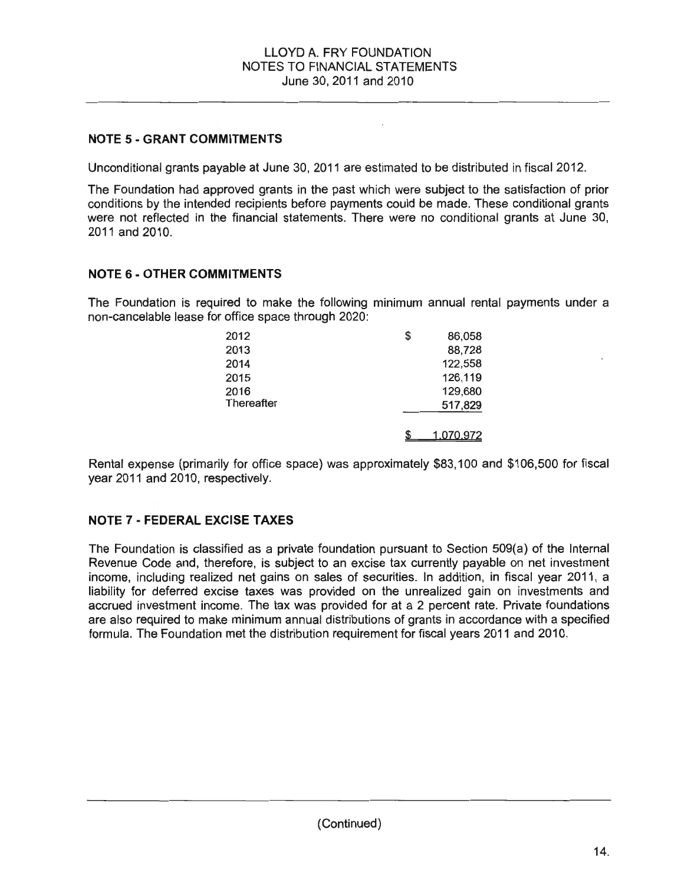## **NOTE 5- GRANT COMMITMENTS**

Unconditional grants payable at June 30, 2011 are estimated to be distributed in fiscal 2012.

The Foundation had approved grants in the past which were subject to the satisfaction of prior conditions by the intended recipients before payments could be made. These conditional grants were not reflected in the financial statements. There were no conditional grants at June 30, 2011 and 2010.

### **NOTE 6- OTHER COMMITMENTS**

The Foundation is required to make the following minimum annual rental payments under a non-cancelable lease for office space through 2020:

| 2012       | S | 86,058           |
|------------|---|------------------|
| 2013       |   | 88,728           |
| 2014       |   | 122,558          |
| 2015       |   | 126,119          |
| 2016       |   | 129,680          |
| Thereafter |   | 517,829          |
|            |   | <u>1.070.972</u> |

Rental expense (primarily for office space) was approximately \$83,100 and \$106,500 for fiscal year 2011 and 2010, respectively.

### **NOTE 7 - FEDERAL EXCISE TAXES**

The Foundation is classified as a private foundation pursuant to Section 509(a) of the Internal Revenue Code and, therefore, is subject to an excise tax currently payable on net investment income, including realized net gains on sales of securities. In addition, in fiscal year 2011, a liability for deferred excise taxes was provided on the unrealized gain on investments and accrued investment income. The tax was provided for at a 2 percent rate. Private foundations are also required to make minimum annual distributions of grants in accordance with a specified formula. The Foundation met the distribution requirement for fiscal years 2011 and 2010.